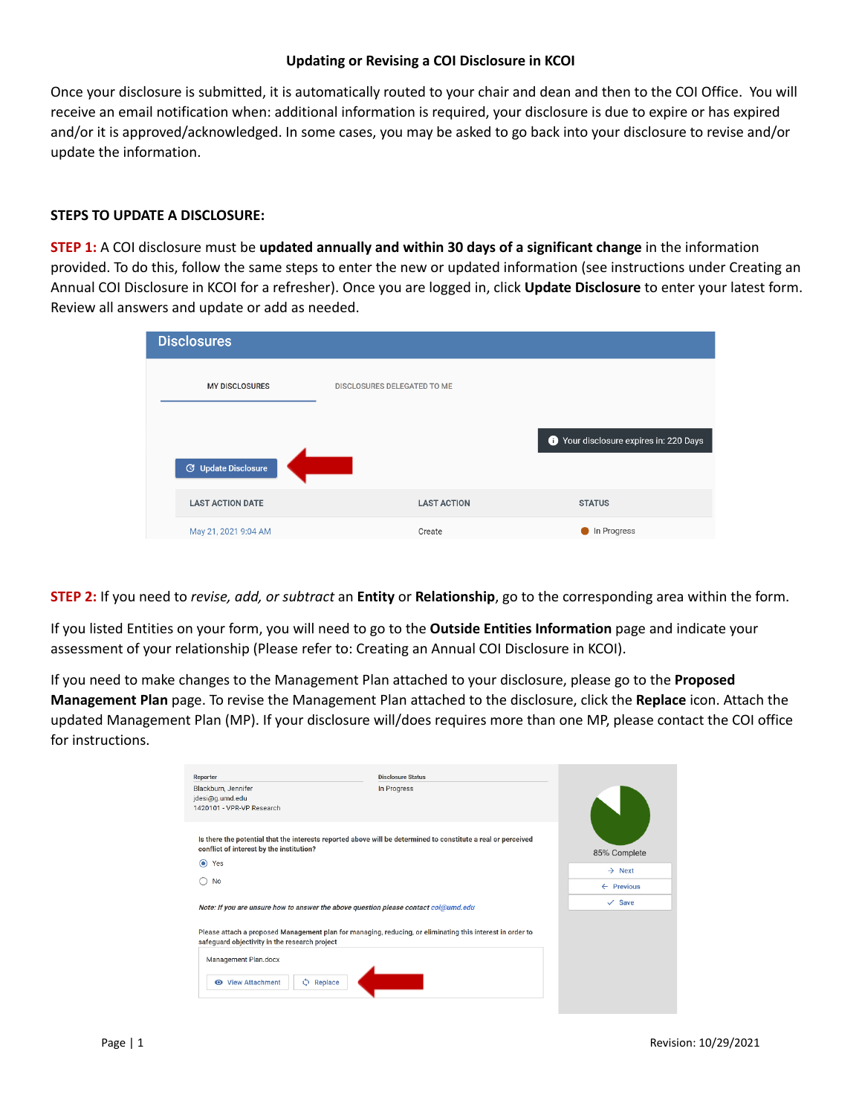## **Updating or Revising a COI Disclosure in KCOI**

Once your disclosure is submitted, it is automatically routed to your chair and dean and then to the COI Office. You will receive an email notification when: additional information is required, your disclosure is due to expire or has expired and/or it is approved/acknowledged. In some cases, you may be asked to go back into your disclosure to revise and/or update the information.

## **STEPS TO UPDATE A DISCLOSURE:**

**STEP 1:** A COI disclosure must be **updated annually and within 30 days of a significant change** in the information provided. To do this, follow the same steps to enter the new or updated information (see instructions under Creating an Annual COI Disclosure in KCOI for a refresher). Once you are logged in, click **Update Disclosure** to enter your latest form. Review all answers and update or add as needed.

| <b>Disclosures</b>         |                             |                                      |
|----------------------------|-----------------------------|--------------------------------------|
| <b>MY DISCLOSURES</b>      | DISCLOSURES DELEGATED TO ME |                                      |
| <b>G</b> Update Disclosure |                             | Your disclosure expires in: 220 Days |
| <b>LAST ACTION DATE</b>    | <b>LAST ACTION</b>          | <b>STATUS</b>                        |
| May 21, 2021 9:04 AM       | Create                      | In Progress                          |

**STEP 2:** If you need to *revise, add, or subtract* an **Entity** or **Relationship**, go to the corresponding area within the form.

If you listed Entities on your form, you will need to go to the **Outside Entities Information** page and indicate your assessment of your relationship (Please refer to: Creating an Annual COI Disclosure in KCOI).

If you need to make changes to the Management Plan attached to your disclosure, please go to the **Proposed Management Plan** page. To revise the Management Plan attached to the disclosure, click the **Replace** icon. Attach the updated Management Plan (MP). If your disclosure will/does requires more than one MP, please contact the COI office for instructions.

| Reporter                                                                                                                                                   | <b>Disclosure Status</b> |                       |
|------------------------------------------------------------------------------------------------------------------------------------------------------------|--------------------------|-----------------------|
| Blackburn, Jennifer<br>jdesi@g.umd.edu<br>1420101 - VPR-VP Research                                                                                        | In Progress              |                       |
| Is there the potential that the interests reported above will be determined to constitute a real or perceived<br>conflict of interest by the institution?  |                          | 85% Complete          |
| Yes<br>◉                                                                                                                                                   |                          | $\rightarrow$ Next    |
| No                                                                                                                                                         |                          | $\leftarrow$ Previous |
| Note: If you are unsure how to answer the above question please contact coi@umd.edu                                                                        |                          | $\checkmark$ Save     |
| Please attach a proposed Management plan for managing, reducing, or eliminating this interest in order to<br>safequard objectivity in the research project |                          |                       |
| Management Plan.docx                                                                                                                                       |                          |                       |
| ٥<br><b>◎</b> View Attachment<br>Replace                                                                                                                   |                          |                       |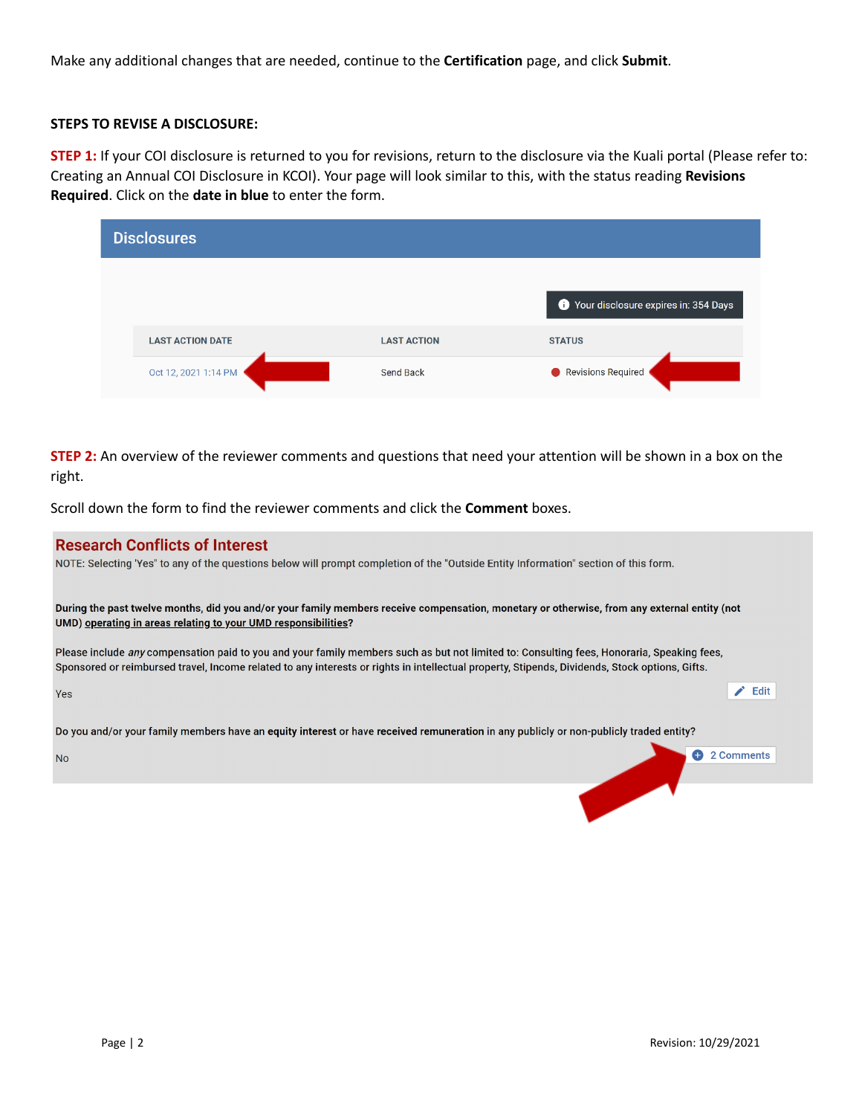Make any additional changes that are needed, continue to the **Certification** page, and click **Submit**.

## **STEPS TO REVISE A DISCLOSURE:**

**STEP 1:** If your COI disclosure is returned to you for revisions, return to the disclosure via the Kuali portal (Please refer to: Creating an Annual COI Disclosure in KCOI). Your page will look similar to this, with the status reading **Revisions Required**. Click on the **date in blue** to enter the form.

|  | <b>Disclosures</b>      |                    |                                      |
|--|-------------------------|--------------------|--------------------------------------|
|  |                         |                    | Your disclosure expires in: 354 Days |
|  | <b>LAST ACTION DATE</b> | <b>LAST ACTION</b> | <b>STATUS</b>                        |
|  | Oct 12, 2021 1:14 PM    | Send Back          | Revisions Required                   |

**STEP 2:** An overview of the reviewer comments and questions that need your attention will be shown in a box on the right.

Scroll down the form to find the reviewer comments and click the **Comment** boxes.

| <b>Research Conflicts of Interest</b><br>NOTE: Selecting 'Yes" to any of the questions below will prompt completion of the "Outside Entity Information" section of this form.                                                                                                                       |  |  |  |
|-----------------------------------------------------------------------------------------------------------------------------------------------------------------------------------------------------------------------------------------------------------------------------------------------------|--|--|--|
|                                                                                                                                                                                                                                                                                                     |  |  |  |
| During the past twelve months, did you and/or your family members receive compensation, monetary or otherwise, from any external entity (not<br>UMD) operating in areas relating to your UMD responsibilities?                                                                                      |  |  |  |
| Please include <i>any</i> compensation paid to you and your family members such as but not limited to: Consulting fees, Honoraria, Speaking fees,<br>Sponsored or reimbursed travel, Income related to any interests or rights in intellectual property, Stipends, Dividends, Stock options, Gifts. |  |  |  |
| Edit<br><b>Yes</b>                                                                                                                                                                                                                                                                                  |  |  |  |
| Do you and/or your family members have an equity interest or have received remuneration in any publicly or non-publicly traded entity?                                                                                                                                                              |  |  |  |
| 2 Comments<br><b>No</b>                                                                                                                                                                                                                                                                             |  |  |  |
|                                                                                                                                                                                                                                                                                                     |  |  |  |
|                                                                                                                                                                                                                                                                                                     |  |  |  |